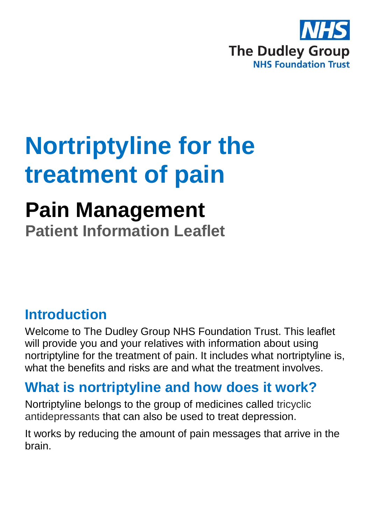

# **Nortriptyline for the treatment of pain**

## **Pain Management**

**Patient Information Leaflet**

#### **Introduction**

Welcome to The Dudley Group NHS Foundation Trust. This leaflet will provide you and your relatives with information about using nortriptyline for the treatment of pain. It includes what nortriptyline is, what the benefits and risks are and what the treatment involves.

#### **What is nortriptyline and how does it work?**

Nortriptyline belongs to the group of medicines called tricyclic antidepressants that can also be used to treat depression.

It works by reducing the amount of pain messages that arrive in the brain.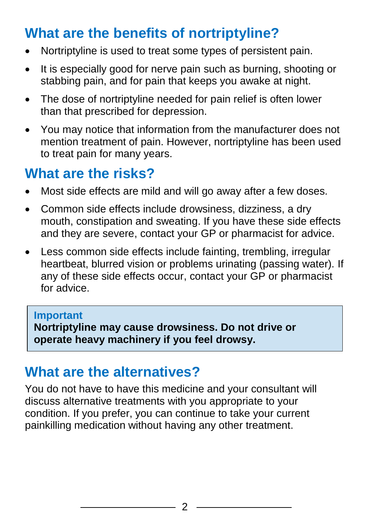#### **What are the benefits of nortriptyline?**

- Nortriptyline is used to treat some types of persistent pain.
- It is especially good for nerve pain such as burning, shooting or stabbing pain, and for pain that keeps you awake at night.
- The dose of nortriptyline needed for pain relief is often lower than that prescribed for depression.
- You may notice that information from the manufacturer does not mention treatment of pain. However, nortriptyline has been used to treat pain for many years.

#### **What are the risks?**

- Most side effects are mild and will go away after a few doses.
- Common side effects include drowsiness, dizziness, a dry mouth, constipation and sweating. If you have these side effects and they are severe, contact your GP or pharmacist for advice.
- Less common side effects include fainting, trembling, irregular heartbeat, blurred vision or problems urinating (passing water). If any of these side effects occur, contact your GP or pharmacist for advice.

#### **Important**

**Nortriptyline may cause drowsiness. Do not drive or operate heavy machinery if you feel drowsy.**

#### **What are the alternatives?**

You do not have to have this medicine and your consultant will discuss alternative treatments with you appropriate to your condition. If you prefer, you can continue to take your current painkilling medication without having any other treatment.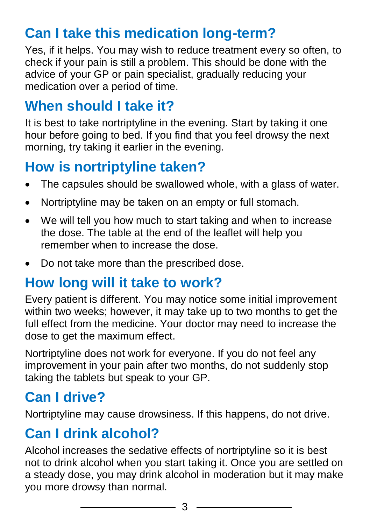#### **Can I take this medication long-term?**

Yes, if it helps. You may wish to reduce treatment every so often, to check if your pain is still a problem. This should be done with the advice of your GP or pain specialist, gradually reducing your medication over a period of time.

#### **When should I take it?**

It is best to take nortriptyline in the evening. Start by taking it one hour before going to bed. If you find that you feel drowsy the next morning, try taking it earlier in the evening.

#### **How is nortriptyline taken?**

- The capsules should be swallowed whole, with a glass of water.
- Nortriptyline may be taken on an empty or full stomach.
- We will tell you how much to start taking and when to increase the dose. The table at the end of the leaflet will help you remember when to increase the dose.
- Do not take more than the prescribed dose.

#### **How long will it take to work?**

Every patient is different. You may notice some initial improvement within two weeks; however, it may take up to two months to get the full effect from the medicine. Your doctor may need to increase the dose to get the maximum effect.

Nortriptyline does not work for everyone. If you do not feel any improvement in your pain after two months, do not suddenly stop taking the tablets but speak to your GP.

### **Can I drive?**

Nortriptyline may cause drowsiness. If this happens, do not drive.

#### **Can I drink alcohol?**

Alcohol increases the sedative effects of nortriptyline so it is best not to drink alcohol when you start taking it. Once you are settled on a steady dose, you may drink alcohol in moderation but it may make you more drowsy than normal.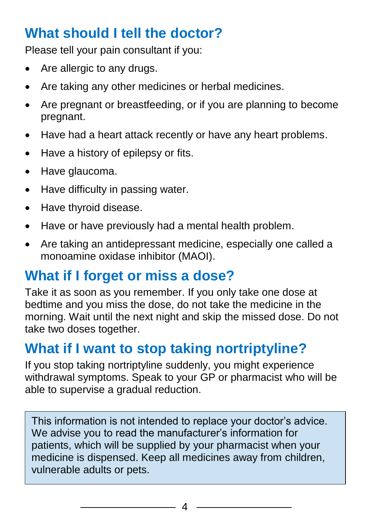#### **What should I tell the doctor?**

Please tell your pain consultant if you:

- Are allergic to any drugs.
- Are taking any other medicines or herbal medicines.
- Are pregnant or breastfeeding, or if you are planning to become pregnant.
- Have had a heart attack recently or have any heart problems.
- Have a history of epilepsy or fits.
- Have glaucoma.
- Have difficulty in passing water.
- Have thyroid disease.
- Have or have previously had a mental health problem.
- Are taking an antidepressant medicine, especially one called a monoamine oxidase inhibitor (MAOI).

#### **What if I forget or miss a dose?**

Take it as soon as you remember. If you only take one dose at bedtime and you miss the dose, do not take the medicine in the morning. Wait until the next night and skip the missed dose. Do not take two doses together.

#### **What if I want to stop taking nortriptyline?**

If you stop taking nortriptyline suddenly, you might experience withdrawal symptoms. Speak to your GP or pharmacist who will be able to supervise a gradual reduction.

This information is not intended to replace your doctor's advice. We advise you to read the manufacturer's information for patients, which will be supplied by your pharmacist when your medicine is dispensed. Keep all medicines away from children, vulnerable adults or pets.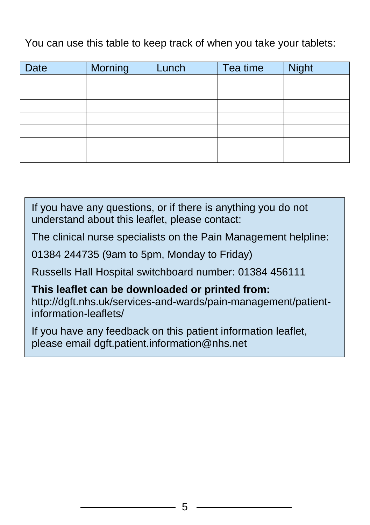You can use this table to keep track of when you take your tablets:

| <b>Date</b> | Morning | Lunch | Tea time | <b>Night</b> |
|-------------|---------|-------|----------|--------------|
|             |         |       |          |              |
|             |         |       |          |              |
|             |         |       |          |              |
|             |         |       |          |              |
|             |         |       |          |              |
|             |         |       |          |              |
|             |         |       |          |              |

If you have any questions, or if there is anything you do not understand about this leaflet, please contact:

The clinical nurse specialists on the Pain Management helpline:

01384 244735 (9am to 5pm, Monday to Friday)

Russells Hall Hospital switchboard number: 01384 456111

**This leaflet can be downloaded or printed from:**

http://dgft.nhs.uk/services-and-wards/pain-management/patientinformation-leaflets/

If you have any feedback on this patient information leaflet, please email dgft.patient.information@nhs.net